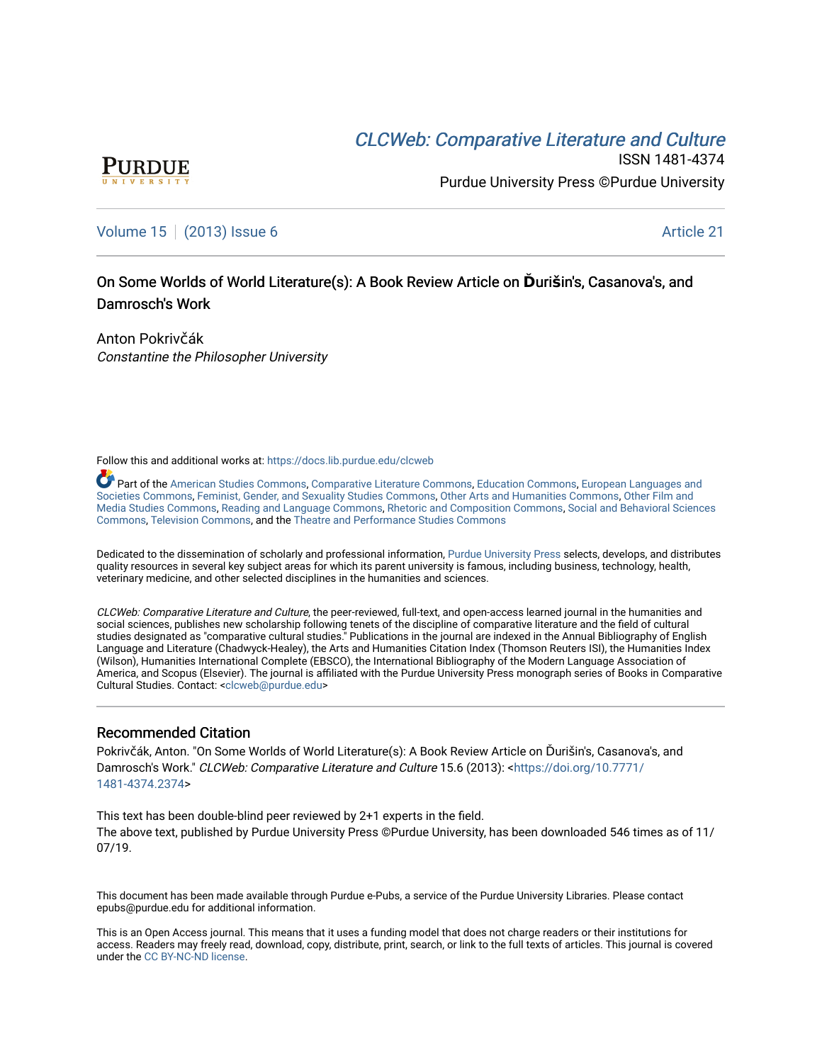# **CLCW[eb: Comparative Liter](https://docs.lib.purdue.edu/clcweb)ature and Culture**



ISSN 1481-4374 Purdue University Press ©Purdue University

### [Volume 15](https://docs.lib.purdue.edu/clcweb/vol15) | [\(2013\) Issue 6](https://docs.lib.purdue.edu/clcweb/vol15/iss6) Article 21

## On Some Worlds of World Literature(s): A Book Review Article on Durišin's, Casanova's, and Damrosch's Work

Anton Pokrivčák Constantine the Philosopher University

Follow this and additional works at: [https://docs.lib.purdue.edu/clcweb](https://docs.lib.purdue.edu/clcweb?utm_source=docs.lib.purdue.edu%2Fclcweb%2Fvol15%2Fiss6%2F21&utm_medium=PDF&utm_campaign=PDFCoverPages)

Part of the [American Studies Commons](http://network.bepress.com/hgg/discipline/439?utm_source=docs.lib.purdue.edu%2Fclcweb%2Fvol15%2Fiss6%2F21&utm_medium=PDF&utm_campaign=PDFCoverPages), [Comparative Literature Commons,](http://network.bepress.com/hgg/discipline/454?utm_source=docs.lib.purdue.edu%2Fclcweb%2Fvol15%2Fiss6%2F21&utm_medium=PDF&utm_campaign=PDFCoverPages) [Education Commons,](http://network.bepress.com/hgg/discipline/784?utm_source=docs.lib.purdue.edu%2Fclcweb%2Fvol15%2Fiss6%2F21&utm_medium=PDF&utm_campaign=PDFCoverPages) [European Languages and](http://network.bepress.com/hgg/discipline/482?utm_source=docs.lib.purdue.edu%2Fclcweb%2Fvol15%2Fiss6%2F21&utm_medium=PDF&utm_campaign=PDFCoverPages) [Societies Commons](http://network.bepress.com/hgg/discipline/482?utm_source=docs.lib.purdue.edu%2Fclcweb%2Fvol15%2Fiss6%2F21&utm_medium=PDF&utm_campaign=PDFCoverPages), [Feminist, Gender, and Sexuality Studies Commons,](http://network.bepress.com/hgg/discipline/559?utm_source=docs.lib.purdue.edu%2Fclcweb%2Fvol15%2Fiss6%2F21&utm_medium=PDF&utm_campaign=PDFCoverPages) [Other Arts and Humanities Commons](http://network.bepress.com/hgg/discipline/577?utm_source=docs.lib.purdue.edu%2Fclcweb%2Fvol15%2Fiss6%2F21&utm_medium=PDF&utm_campaign=PDFCoverPages), [Other Film and](http://network.bepress.com/hgg/discipline/565?utm_source=docs.lib.purdue.edu%2Fclcweb%2Fvol15%2Fiss6%2F21&utm_medium=PDF&utm_campaign=PDFCoverPages)  [Media Studies Commons](http://network.bepress.com/hgg/discipline/565?utm_source=docs.lib.purdue.edu%2Fclcweb%2Fvol15%2Fiss6%2F21&utm_medium=PDF&utm_campaign=PDFCoverPages), [Reading and Language Commons](http://network.bepress.com/hgg/discipline/1037?utm_source=docs.lib.purdue.edu%2Fclcweb%2Fvol15%2Fiss6%2F21&utm_medium=PDF&utm_campaign=PDFCoverPages), [Rhetoric and Composition Commons,](http://network.bepress.com/hgg/discipline/573?utm_source=docs.lib.purdue.edu%2Fclcweb%2Fvol15%2Fiss6%2F21&utm_medium=PDF&utm_campaign=PDFCoverPages) [Social and Behavioral Sciences](http://network.bepress.com/hgg/discipline/316?utm_source=docs.lib.purdue.edu%2Fclcweb%2Fvol15%2Fiss6%2F21&utm_medium=PDF&utm_campaign=PDFCoverPages) [Commons,](http://network.bepress.com/hgg/discipline/316?utm_source=docs.lib.purdue.edu%2Fclcweb%2Fvol15%2Fiss6%2F21&utm_medium=PDF&utm_campaign=PDFCoverPages) [Television Commons,](http://network.bepress.com/hgg/discipline/1143?utm_source=docs.lib.purdue.edu%2Fclcweb%2Fvol15%2Fiss6%2F21&utm_medium=PDF&utm_campaign=PDFCoverPages) and the [Theatre and Performance Studies Commons](http://network.bepress.com/hgg/discipline/552?utm_source=docs.lib.purdue.edu%2Fclcweb%2Fvol15%2Fiss6%2F21&utm_medium=PDF&utm_campaign=PDFCoverPages)

Dedicated to the dissemination of scholarly and professional information, [Purdue University Press](http://www.thepress.purdue.edu/) selects, develops, and distributes quality resources in several key subject areas for which its parent university is famous, including business, technology, health, veterinary medicine, and other selected disciplines in the humanities and sciences.

CLCWeb: Comparative Literature and Culture, the peer-reviewed, full-text, and open-access learned journal in the humanities and social sciences, publishes new scholarship following tenets of the discipline of comparative literature and the field of cultural studies designated as "comparative cultural studies." Publications in the journal are indexed in the Annual Bibliography of English Language and Literature (Chadwyck-Healey), the Arts and Humanities Citation Index (Thomson Reuters ISI), the Humanities Index (Wilson), Humanities International Complete (EBSCO), the International Bibliography of the Modern Language Association of America, and Scopus (Elsevier). The journal is affiliated with the Purdue University Press monograph series of Books in Comparative Cultural Studies. Contact: [<clcweb@purdue.edu](mailto:clcweb@purdue.edu)>

#### Recommended Citation

Pokrivčák, Anton. "On Some Worlds of World Literature(s): A Book Review Article on Ďurišin's, Casanova's, and Damrosch's Work." CLCWeb: Comparative Literature and Culture 15.6 (2013): <[https://doi.org/10.7771/](https://doi.org/10.7771/1481-4374.2374) [1481-4374.2374](https://doi.org/10.7771/1481-4374.2374)>

This text has been double-blind peer reviewed by 2+1 experts in the field. The above text, published by Purdue University Press ©Purdue University, has been downloaded 546 times as of 11/ 07/19.

This document has been made available through Purdue e-Pubs, a service of the Purdue University Libraries. Please contact epubs@purdue.edu for additional information.

This is an Open Access journal. This means that it uses a funding model that does not charge readers or their institutions for access. Readers may freely read, download, copy, distribute, print, search, or link to the full texts of articles. This journal is covered under the [CC BY-NC-ND license.](https://creativecommons.org/licenses/by-nc-nd/4.0/)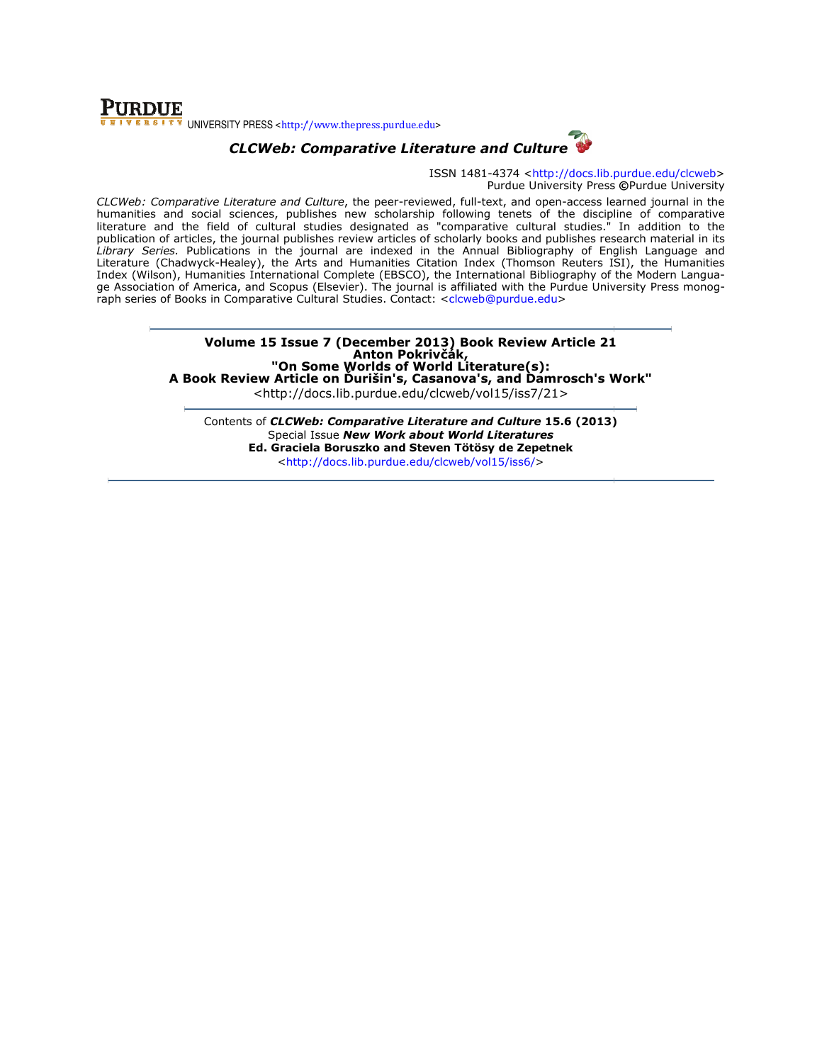### **PURDUE** UNIVERSITY PRESS <http://www.thepress.purdue.edu>



ISSN 1481-4374 <http://docs.lib.purdue.edu/clcweb> Purdue University Press ©Purdue University

CLCWeb: Comparative Literature and Culture, the peer-reviewed, full-text, and open-access learned journal in the humanities and social sciences, publishes new scholarship following tenets of the discipline of comparative literature and the field of cultural studies designated as "comparative cultural studies." In addition to the humanities and social sciences, publishes new scholarship following tenets of the discipline of comparative<br>literature and the field of cultural studies designated as "comparative cultural studies." In addition to the<br>publ Library Series. Publications in the journal are indexed in the Annual Bibliography of English Language and Literature (Chadwyck-Healey), the Arts and Humanities Citation Index (Thomson Reuters ISI), the Humanities Index (Wilson), Humanities International Complete (EBSCO), the International Bibliography of the Modern Langua ge Association of America, and Scopus (Elsevier). The journal is affiliated with the Purdue University Press monograph series of Books in Comparative Cultural Studies. Contact: <clcweb@purdue.edu> ure (Chadwyck-Healey), the Arts and Humanities Citation Index (Thomson Reuters ISI), the Humanitie:<br>(Wilson), Humanities International Complete (EBSCO), the International Bibliography of the Modern Langua<br>ociation of Ameri er-reviewed, full-text, and open-access learned journal in the nolarship following tenets of the discipline of comparative titeles of scholarly books and publishes research material in its exed in the Annual Bibliography o

> Volume 15 Issue 7 (December 2013) Book Review Article 21 "On Some Worlds of World Literature(s): A Book Review Article on Ďurišin's, Casanova's, and Damrosch's Work <http://docs.li <http://docs.lib.purdue.edu/clcweb/vol15/iss7/21> Anton Pokrivčák, of World ) Book Review Article 21<br>ák,<br>1 Literature(s):<br>1ova's, and Damrosch's Work''

Contents of *CLCWeb: Comparative Literature and Culture* 15.6 (2013) Special Issue New Work about World Literatures Ed. Graciela Boruszko and Steven Tötösy de Zepetnek Tötösy de <http://docs.lib.purdue.edu/clcweb/vol15/iss6/ http://docs.lib.purdue.edu/clcweb/vol15/iss6/>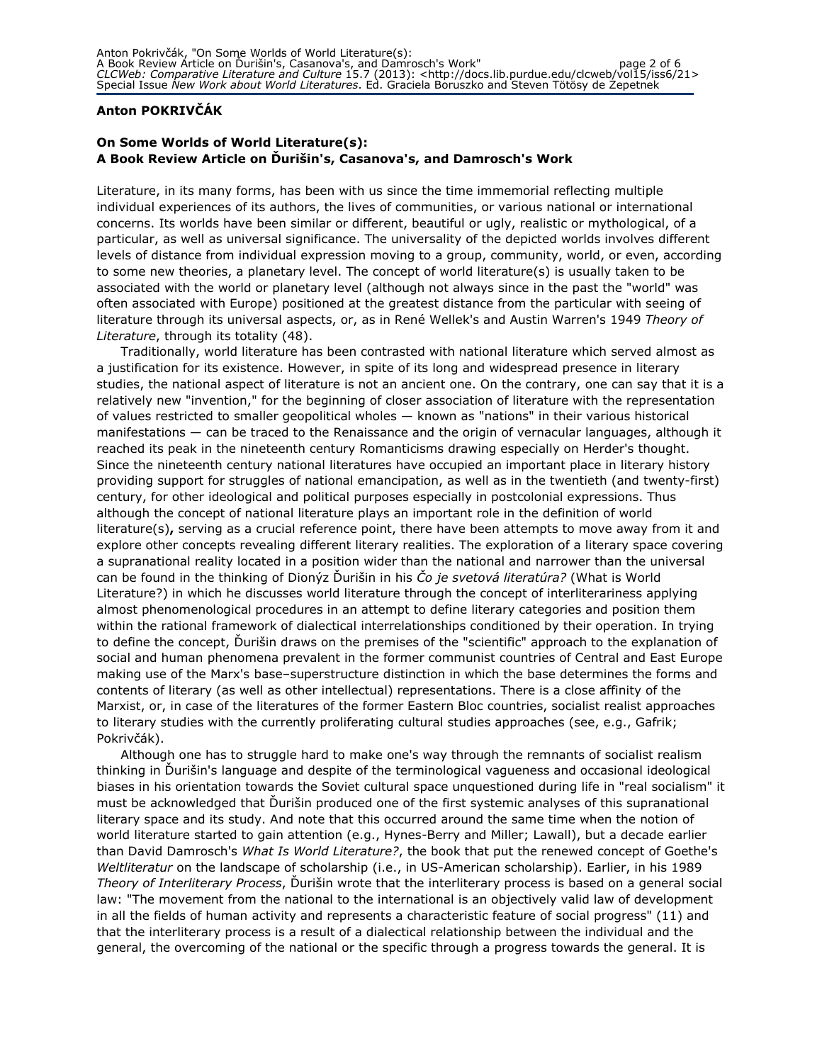### Anton POKRIVČÁK

### On Some Worlds of World Literature(s): A Book Review Article on Ďurišin's, Casanova's, and Damrosch's Work

Literature, in its many forms, has been with us since the time immemorial reflecting multiple individual experiences of its authors, the lives of communities, or various national or international concerns. Its worlds have been similar or different, beautiful or ugly, realistic or mythological, of a particular, as well as universal significance. The universality of the depicted worlds involves different levels of distance from individual expression moving to a group, community, world, or even, according to some new theories, a planetary level. The concept of world literature(s) is usually taken to be associated with the world or planetary level (although not always since in the past the "world" was often associated with Europe) positioned at the greatest distance from the particular with seeing of literature through its universal aspects, or, as in René Wellek's and Austin Warren's 1949 Theory of Literature, through its totality (48).

Traditionally, world literature has been contrasted with national literature which served almost as a justification for its existence. However, in spite of its long and widespread presence in literary studies, the national aspect of literature is not an ancient one. On the contrary, one can say that it is a relatively new "invention," for the beginning of closer association of literature with the representation of values restricted to smaller geopolitical wholes — known as "nations" in their various historical manifestations — can be traced to the Renaissance and the origin of vernacular languages, although it reached its peak in the nineteenth century Romanticisms drawing especially on Herder's thought. Since the nineteenth century national literatures have occupied an important place in literary history providing support for struggles of national emancipation, as well as in the twentieth (and twenty-first) century, for other ideological and political purposes especially in postcolonial expressions. Thus although the concept of national literature plays an important role in the definition of world literature(s), serving as a crucial reference point, there have been attempts to move away from it and explore other concepts revealing different literary realities. The exploration of a literary space covering a supranational reality located in a position wider than the national and narrower than the universal can be found in the thinking of Dionýz Durišin in his Co je svetová literatúra? (What is World Literature?) in which he discusses world literature through the concept of interliterariness applying almost phenomenological procedures in an attempt to define literary categories and position them within the rational framework of dialectical interrelationships conditioned by their operation. In trying to define the concept, Ďurišin draws on the premises of the "scientific" approach to the explanation of social and human phenomena prevalent in the former communist countries of Central and East Europe making use of the Marx's base–superstructure distinction in which the base determines the forms and contents of literary (as well as other intellectual) representations. There is a close affinity of the Marxist, or, in case of the literatures of the former Eastern Bloc countries, socialist realist approaches to literary studies with the currently proliferating cultural studies approaches (see, e.g., Gafrik; Pokrivčák).

Although one has to struggle hard to make one's way through the remnants of socialist realism thinking in Ďurišin's language and despite of the terminological vagueness and occasional ideological biases in his orientation towards the Soviet cultural space unquestioned during life in "real socialism" it must be acknowledged that Ďurišin produced one of the first systemic analyses of this supranational literary space and its study. And note that this occurred around the same time when the notion of world literature started to gain attention (e.g., Hynes-Berry and Miller; Lawall), but a decade earlier than David Damrosch's What Is World Literature?, the book that put the renewed concept of Goethe's Weltliteratur on the landscape of scholarship (i.e., in US-American scholarship). Earlier, in his 1989 Theory of Interliterary Process, Ďurišin wrote that the interliterary process is based on a general social law: "The movement from the national to the international is an objectively valid law of development in all the fields of human activity and represents a characteristic feature of social progress" (11) and that the interliterary process is a result of a dialectical relationship between the individual and the general, the overcoming of the national or the specific through a progress towards the general. It is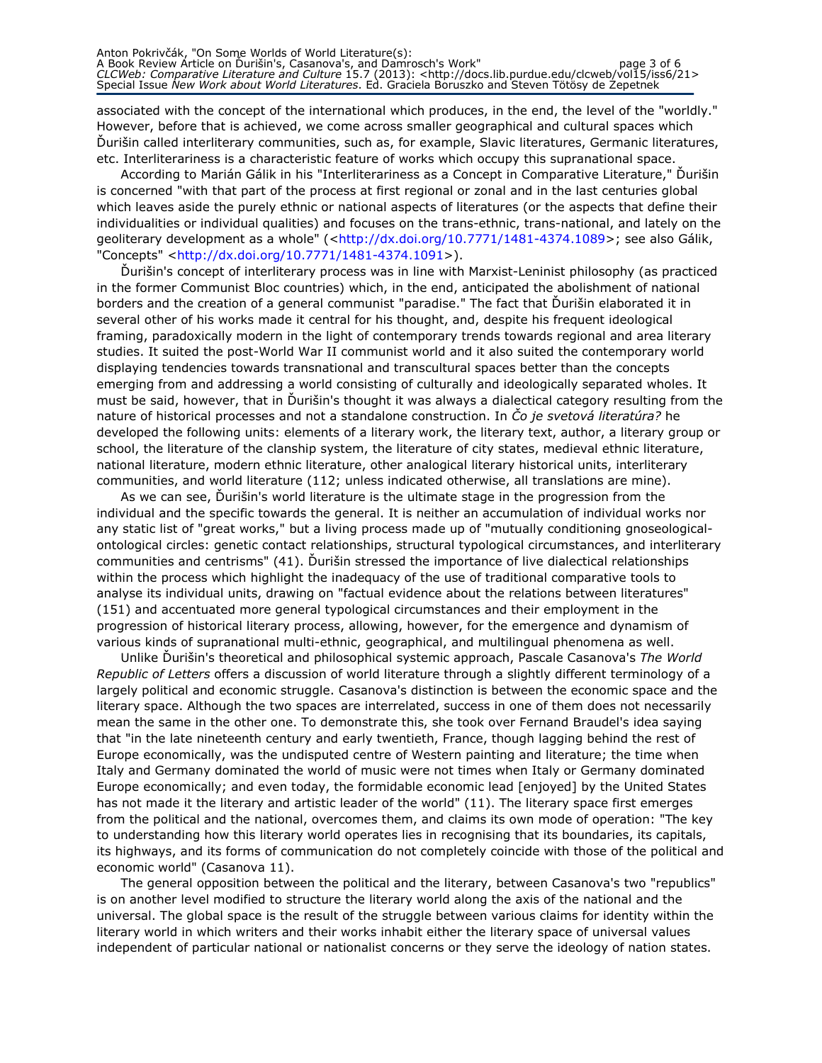associated with the concept of the international which produces, in the end, the level of the "worldly." However, before that is achieved, we come across smaller geographical and cultural spaces which Ďurišin called interliterary communities, such as, for example, Slavic literatures, Germanic literatures, etc. Interliterariness is a characteristic feature of works which occupy this supranational space.

According to Marián Gálik in his "Interliterariness as a Concept in Comparative Literature," Ďurišin is concerned "with that part of the process at first regional or zonal and in the last centuries global which leaves aside the purely ethnic or national aspects of literatures (or the aspects that define their individualities or individual qualities) and focuses on the trans-ethnic, trans-national, and lately on the geoliterary development as a whole" (<http://dx.doi.org/10.7771/1481-4374.1089>; see also Gálik, "Concepts" <http://dx.doi.org/10.7771/1481-4374.1091>).

Ďurišin's concept of interliterary process was in line with Marxist-Leninist philosophy (as practiced in the former Communist Bloc countries) which, in the end, anticipated the abolishment of national borders and the creation of a general communist "paradise." The fact that Ďurišin elaborated it in several other of his works made it central for his thought, and, despite his frequent ideological framing, paradoxically modern in the light of contemporary trends towards regional and area literary studies. It suited the post-World War II communist world and it also suited the contemporary world displaying tendencies towards transnational and transcultural spaces better than the concepts emerging from and addressing a world consisting of culturally and ideologically separated wholes. It must be said, however, that in Ďurišin's thought it was always a dialectical category resulting from the nature of historical processes and not a standalone construction. In Co je svetová literatúra? he developed the following units: elements of a literary work, the literary text, author, a literary group or school, the literature of the clanship system, the literature of city states, medieval ethnic literature, national literature, modern ethnic literature, other analogical literary historical units, interliterary communities, and world literature (112; unless indicated otherwise, all translations are mine).

As we can see, Ďurišin's world literature is the ultimate stage in the progression from the individual and the specific towards the general. It is neither an accumulation of individual works nor any static list of "great works," but a living process made up of "mutually conditioning gnoseologicalontological circles: genetic contact relationships, structural typological circumstances, and interliterary communities and centrisms" (41). Ďurišin stressed the importance of live dialectical relationships within the process which highlight the inadequacy of the use of traditional comparative tools to analyse its individual units, drawing on "factual evidence about the relations between literatures" (151) and accentuated more general typological circumstances and their employment in the progression of historical literary process, allowing, however, for the emergence and dynamism of various kinds of supranational multi-ethnic, geographical, and multilingual phenomena as well.

Unlike Ďurišin's theoretical and philosophical systemic approach, Pascale Casanova's The World Republic of Letters offers a discussion of world literature through a slightly different terminology of a largely political and economic struggle. Casanova's distinction is between the economic space and the literary space. Although the two spaces are interrelated, success in one of them does not necessarily mean the same in the other one. To demonstrate this, she took over Fernand Braudel's idea saying that "in the late nineteenth century and early twentieth, France, though lagging behind the rest of Europe economically, was the undisputed centre of Western painting and literature; the time when Italy and Germany dominated the world of music were not times when Italy or Germany dominated Europe economically; and even today, the formidable economic lead [enjoyed] by the United States has not made it the literary and artistic leader of the world" (11). The literary space first emerges from the political and the national, overcomes them, and claims its own mode of operation: "The key to understanding how this literary world operates lies in recognising that its boundaries, its capitals, its highways, and its forms of communication do not completely coincide with those of the political and economic world" (Casanova 11).

The general opposition between the political and the literary, between Casanova's two "republics" is on another level modified to structure the literary world along the axis of the national and the universal. The global space is the result of the struggle between various claims for identity within the literary world in which writers and their works inhabit either the literary space of universal values independent of particular national or nationalist concerns or they serve the ideology of nation states.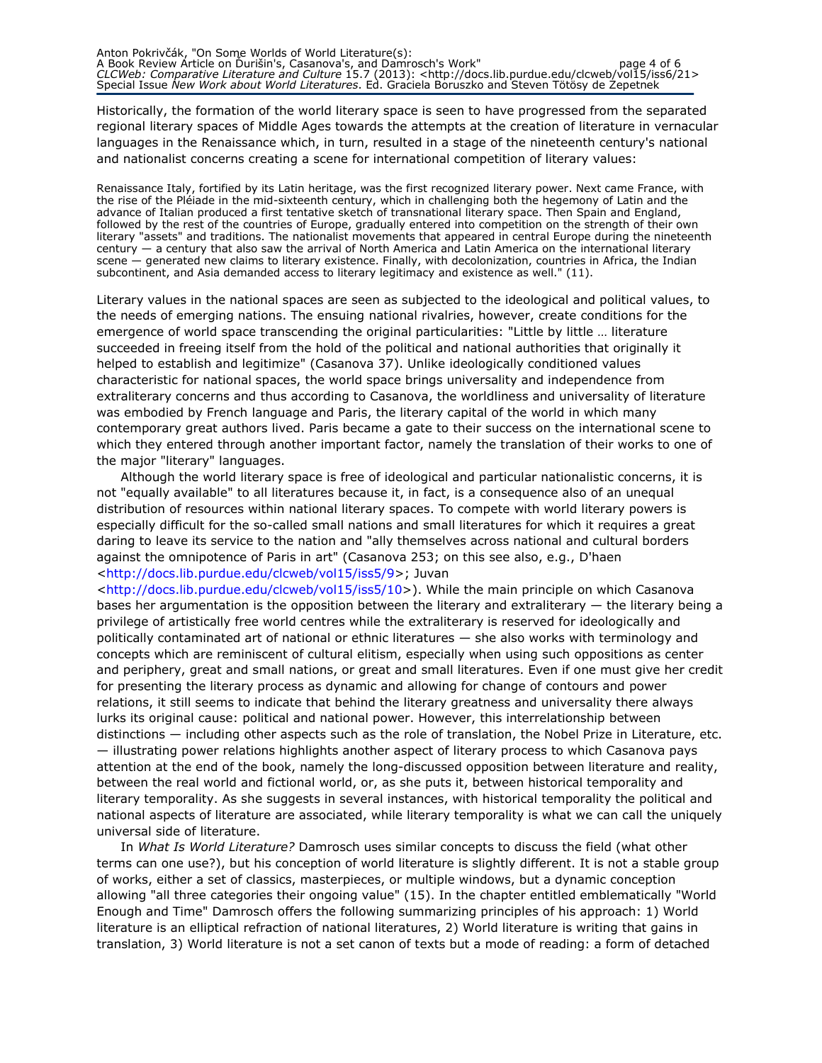Historically, the formation of the world literary space is seen to have progressed from the separated regional literary spaces of Middle Ages towards the attempts at the creation of literature in vernacular languages in the Renaissance which, in turn, resulted in a stage of the nineteenth century's national and nationalist concerns creating a scene for international competition of literary values:

Renaissance Italy, fortified by its Latin heritage, was the first recognized literary power. Next came France, with the rise of the Pléiade in the mid-sixteenth century, which in challenging both the hegemony of Latin and the advance of Italian produced a first tentative sketch of transnational literary space. Then Spain and England, followed by the rest of the countries of Europe, gradually entered into competition on the strength of their own literary "assets" and traditions. The nationalist movements that appeared in central Europe during the nineteenth century — a century that also saw the arrival of North America and Latin America on the international literary scene — generated new claims to literary existence. Finally, with decolonization, countries in Africa, the Indian subcontinent, and Asia demanded access to literary legitimacy and existence as well." (11).

Literary values in the national spaces are seen as subjected to the ideological and political values, to the needs of emerging nations. The ensuing national rivalries, however, create conditions for the emergence of world space transcending the original particularities: "Little by little … literature succeeded in freeing itself from the hold of the political and national authorities that originally it helped to establish and legitimize" (Casanova 37). Unlike ideologically conditioned values characteristic for national spaces, the world space brings universality and independence from extraliterary concerns and thus according to Casanova, the worldliness and universality of literature was embodied by French language and Paris, the literary capital of the world in which many contemporary great authors lived. Paris became a gate to their success on the international scene to which they entered through another important factor, namely the translation of their works to one of the major "literary" languages.

Although the world literary space is free of ideological and particular nationalistic concerns, it is not "equally available" to all literatures because it, in fact, is a consequence also of an unequal distribution of resources within national literary spaces. To compete with world literary powers is especially difficult for the so-called small nations and small literatures for which it requires a great daring to leave its service to the nation and "ally themselves across national and cultural borders against the omnipotence of Paris in art" (Casanova 253; on this see also, e.g., D'haen <http://docs.lib.purdue.edu/clcweb/vol15/iss5/9>; Juvan

<http://docs.lib.purdue.edu/clcweb/vol15/iss5/10>). While the main principle on which Casanova bases her argumentation is the opposition between the literary and extraliterary  $-$  the literary being a privilege of artistically free world centres while the extraliterary is reserved for ideologically and politically contaminated art of national or ethnic literatures — she also works with terminology and concepts which are reminiscent of cultural elitism, especially when using such oppositions as center and periphery, great and small nations, or great and small literatures. Even if one must give her credit for presenting the literary process as dynamic and allowing for change of contours and power relations, it still seems to indicate that behind the literary greatness and universality there always lurks its original cause: political and national power. However, this interrelationship between distinctions — including other aspects such as the role of translation, the Nobel Prize in Literature, etc. — illustrating power relations highlights another aspect of literary process to which Casanova pays attention at the end of the book, namely the long-discussed opposition between literature and reality, between the real world and fictional world, or, as she puts it, between historical temporality and literary temporality. As she suggests in several instances, with historical temporality the political and national aspects of literature are associated, while literary temporality is what we can call the uniquely universal side of literature.

In What Is World Literature? Damrosch uses similar concepts to discuss the field (what other terms can one use?), but his conception of world literature is slightly different. It is not a stable group of works, either a set of classics, masterpieces, or multiple windows, but a dynamic conception allowing "all three categories their ongoing value" (15). In the chapter entitled emblematically "World Enough and Time" Damrosch offers the following summarizing principles of his approach: 1) World literature is an elliptical refraction of national literatures, 2) World literature is writing that gains in translation, 3) World literature is not a set canon of texts but a mode of reading: a form of detached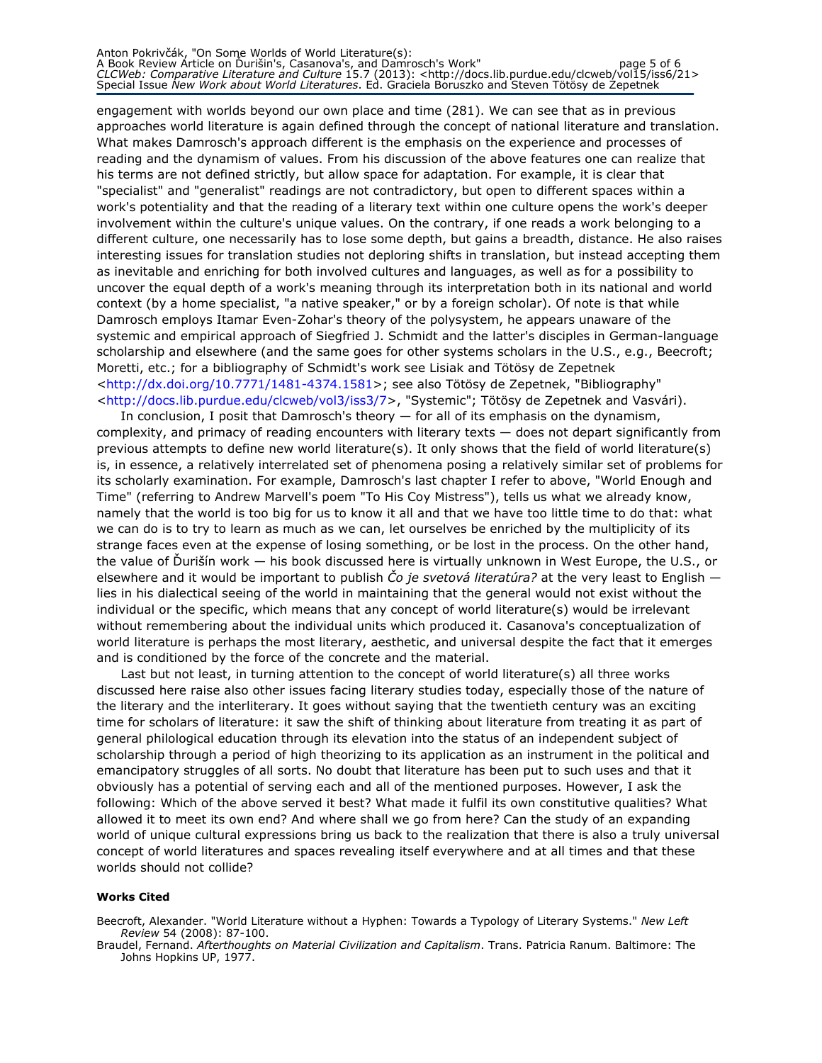#### Anton Pokrivčák, "On Some Worlds of World Literature(s): A Book Review Article on Ďurišin's, Casanova's, and Damrosch's Work" page 5 of 6 CLCWeb: Comparative Literature and Culture 15.7 (2013): <http://docs.lib.purdue.edu/clcweb/vol15/iss6/21> Special Issue New Work about World Literatures. Ed. Graciela Boruszko and Steven Tötösy de Zepetnek

engagement with worlds beyond our own place and time (281). We can see that as in previous approaches world literature is again defined through the concept of national literature and translation. What makes Damrosch's approach different is the emphasis on the experience and processes of reading and the dynamism of values. From his discussion of the above features one can realize that his terms are not defined strictly, but allow space for adaptation. For example, it is clear that "specialist" and "generalist" readings are not contradictory, but open to different spaces within a work's potentiality and that the reading of a literary text within one culture opens the work's deeper involvement within the culture's unique values. On the contrary, if one reads a work belonging to a different culture, one necessarily has to lose some depth, but gains a breadth, distance. He also raises interesting issues for translation studies not deploring shifts in translation, but instead accepting them as inevitable and enriching for both involved cultures and languages, as well as for a possibility to uncover the equal depth of a work's meaning through its interpretation both in its national and world context (by a home specialist, "a native speaker," or by a foreign scholar). Of note is that while Damrosch employs Itamar Even-Zohar's theory of the polysystem, he appears unaware of the systemic and empirical approach of Siegfried J. Schmidt and the latter's disciples in German-language scholarship and elsewhere (and the same goes for other systems scholars in the U.S., e.g., Beecroft; Moretti, etc.; for a bibliography of Schmidt's work see Lisiak and Tötösy de Zepetnek <http://dx.doi.org/10.7771/1481-4374.1581>; see also Tötösy de Zepetnek, "Bibliography" <http://docs.lib.purdue.edu/clcweb/vol3/iss3/7>, "Systemic"; Tötösy de Zepetnek and Vasvári).

In conclusion, I posit that Damrosch's theory — for all of its emphasis on the dynamism, complexity, and primacy of reading encounters with literary texts — does not depart significantly from previous attempts to define new world literature(s). It only shows that the field of world literature(s) is, in essence, a relatively interrelated set of phenomena posing a relatively similar set of problems for its scholarly examination. For example, Damrosch's last chapter I refer to above, "World Enough and Time" (referring to Andrew Marvell's poem "To His Coy Mistress"), tells us what we already know, namely that the world is too big for us to know it all and that we have too little time to do that: what we can do is to try to learn as much as we can, let ourselves be enriched by the multiplicity of its strange faces even at the expense of losing something, or be lost in the process. On the other hand, the value of Ďurišín work — his book discussed here is virtually unknown in West Europe, the U.S., or elsewhere and it would be important to publish  $\check{C}$  *ie svetová literatúra?* at the very least to English lies in his dialectical seeing of the world in maintaining that the general would not exist without the individual or the specific, which means that any concept of world literature(s) would be irrelevant without remembering about the individual units which produced it. Casanova's conceptualization of world literature is perhaps the most literary, aesthetic, and universal despite the fact that it emerges and is conditioned by the force of the concrete and the material.

Last but not least, in turning attention to the concept of world literature(s) all three works discussed here raise also other issues facing literary studies today, especially those of the nature of the literary and the interliterary. It goes without saying that the twentieth century was an exciting time for scholars of literature: it saw the shift of thinking about literature from treating it as part of general philological education through its elevation into the status of an independent subject of scholarship through a period of high theorizing to its application as an instrument in the political and emancipatory struggles of all sorts. No doubt that literature has been put to such uses and that it obviously has a potential of serving each and all of the mentioned purposes. However, I ask the following: Which of the above served it best? What made it fulfil its own constitutive qualities? What allowed it to meet its own end? And where shall we go from here? Can the study of an expanding world of unique cultural expressions bring us back to the realization that there is also a truly universal concept of world literatures and spaces revealing itself everywhere and at all times and that these worlds should not collide?

#### Works Cited

Beecroft, Alexander. "World Literature without a Hyphen: Towards a Typology of Literary Systems." New Left Review 54 (2008): 87-100.

Braudel, Fernand. Afterthoughts on Material Civilization and Capitalism. Trans. Patricia Ranum. Baltimore: The Johns Hopkins UP, 1977.